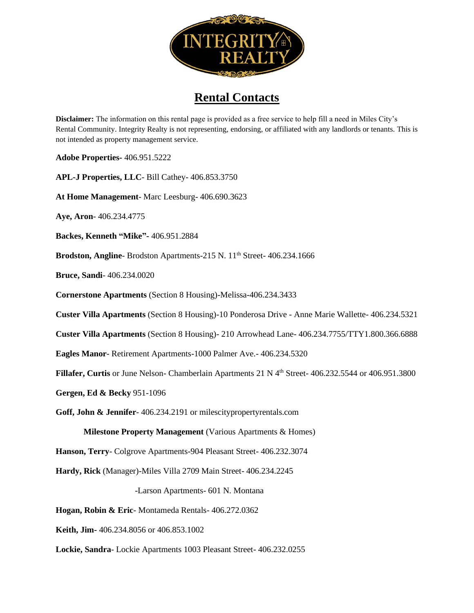

## **Rental Contacts**

**Disclaimer:** The information on this rental page is provided as a free service to help fill a need in Miles City's Rental Community. Integrity Realty is not representing, endorsing, or affiliated with any landlords or tenants. This is not intended as property management service.

**Adobe Properties-** 406.951.5222

**APL-J Properties, LLC**- Bill Cathey- 406.853.3750

**At Home Management**- Marc Leesburg- 406.690.3623

**Aye, Aron**- 406.234.4775

**Backes, Kenneth "Mike"-** 406.951.2884

Brodston, Angline-Brodston Apartments-215 N. 11<sup>th</sup> Street- 406.234.1666

**Bruce, Sandi**- 406.234.0020

**Cornerstone Apartments** (Section 8 Housing)-Melissa-406.234.3433

**Custer Villa Apartments** (Section 8 Housing)-10 Ponderosa Drive - Anne Marie Wallette- 406.234.5321

**Custer Villa Apartments** (Section 8 Housing)- 210 Arrowhead Lane- 406.234.7755/TTY1.800.366.6888

**Eagles Manor**- Retirement Apartments-1000 Palmer Ave.- 406.234.5320

Fillafer, Curtis or June Nelson- Chamberlain Apartments 21 N 4<sup>th</sup> Street- 406.232.5544 or 406.951.3800

**Gergen, Ed & Becky** 951-1096

**Goff, John & Jennifer**- 406.234.2191 or milescitypropertyrentals.com

**Milestone Property Management** (Various Apartments & Homes)

**Hanson, Terry**- Colgrove Apartments-904 Pleasant Street- 406.232.3074

**Hardy, Rick** (Manager)-Miles Villa 2709 Main Street- 406.234.2245

-Larson Apartments- 601 N. Montana

**Hogan, Robin & Eric**- Montameda Rentals- 406.272.0362

**Keith, Jim-** 406.234.8056 or 406.853.1002

**Lockie, Sandra**- Lockie Apartments 1003 Pleasant Street- 406.232.0255